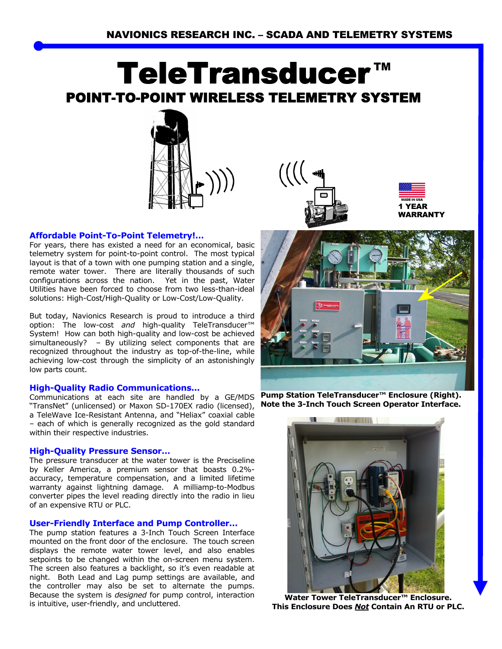# **TeleTransduce** POINT-TO-POINT WIRELESS TELEMETRY SYSTEM



# **Affordable Point-To-Point Telemetry!…**

For years, there has existed a need for an economical, basic telemetry system for point-to-point control. The most typical layout is that of a town with one pumping station and a single, remote water tower. There are literally thousands of such configurations across the nation. Yet in the past, Water Utilities have been forced to choose from two less-than-ideal solutions: High-Cost/High-Quality or Low-Cost/Low-Quality.

But today, Navionics Research is proud to introduce a third option: The low-cost *and* high-quality TeleTransducer™ System! How can both high-quality and low-cost be achieved simultaneously? – By utilizing select components that are recognized throughout the industry as top-of-the-line, while achieving low-cost through the simplicity of an astonishingly low parts count.

# **High-Quality Radio Communications...**

"TransNet" (unlicensed) or Maxon SD-170EX radio (licensed), a TeleWave Ice-Resistant Antenna, and "Heliax" coaxial cable – each of which is generally recognized as the gold standard within their respective industries.

# **High-Quality Pressure Sensor…**

The pressure transducer at the water tower is the Preciseline by Keller America, a premium sensor that boasts 0.2% accuracy, temperature compensation, and a limited lifetime warranty against lightning damage. A milliamp-to-Modbus converter pipes the level reading directly into the radio in lieu of an expensive RTU or PLC.

#### **User-Friendly Interface and Pump Controller…**

The pump station features a 3-Inch Touch Screen Interface mounted on the front door of the enclosure. The touch screen displays the remote water tower level, and also enables setpoints to be changed within the on-screen menu system. The screen also features a backlight, so it's even readable at night. Both Lead and Lag pump settings are available, and the controller may also be set to alternate the pumps. Because the system is *designed* for pump control, interaction is intuitive, user-friendly, and uncluttered.



1 YEAR WARRANTY



Communications at each site are handled by a GE/MDS **Pump Station TeleTransducer™ Enclosure (Right). Note the 3-Inch Touch Screen Operator Interface.** 



**Water Tower TeleTransducer™ Enclosure. This Enclosure Does** *Not* **Contain An RTU or PLC.**